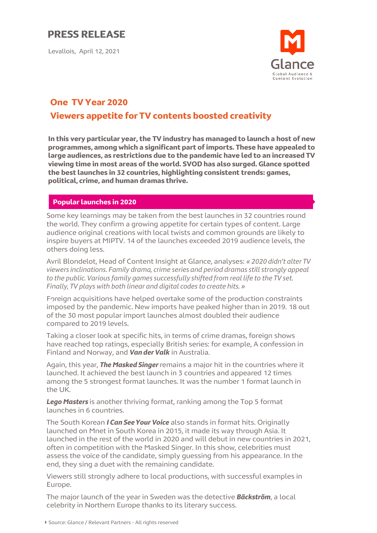# **PRESS RELEASE**

Levallois, April 12, 2021



# **One TV Year 2020 Viewers appetite for TV contents boosted creativity**

**In this very particular year, the TV industry has managed to launch a host of new programmes, among which a significant part of imports. These have appealed to large audiences, as restrictions due to the pandemic have led to an increased TV viewing time in most areas of the world. SVOD has also surged. Glance spotted the best launches in 32 countries, highlighting consistent trends: games, political, crime, and human dramas thrive.** 

#### **Popular launches in 2020**

Some key learnings may be taken from the best launches in 32 countries round the world. They confirm a growing appetite for certain types of content. Large audience original creations with local twists and common grounds are likely to inspire buyers at MIPTV. 14 of the launches exceeded 2019 audience levels, the others doing less.

Avril Blondelot, Head of Content Insight at Glance, analyses: *« 2020 didn't alter TV viewers inclinations. Family drama, crime series and period dramas still strongly appeal to the public. Various family games successfully shifted from real life to the TV set. Finally, TV plays with both linear and digital codes to create hits. »*

Foreign acquisitions have helped overtake some of the production constraints imposed by the pandemic. New imports have peaked higher than in 2019. 18 out of the 30 most popular import launches almost doubled their audience compared to 2019 levels.

Taking a closer look at specific hits, in terms of crime dramas, foreign shows have reached top ratings, especially British series: for example, A confession in Finland and Norway, and *Van der Valk* in Australia.

Again, this year, *The Masked Singer* remains a major hit in the countries where it launched. It achieved the best launch in 3 countries and appeared 12 times among the 5 strongest format launches. It was the number 1 format launch in the UK.

*Lego Masters* is another thriving format, ranking among the Top 5 format launches in 6 countries.

The South Korean *I Can See Your Voice* also stands in format hits. Originally launched on Mnet in South Korea in 2015, it made its way through Asia. It launched in the rest of the world in 2020 and will debut in new countries in 2021, often in competition with the Masked Singer. In this show, celebrities must assess the voice of the candidate, simply guessing from his appearance. In the end, they sing a duet with the remaining candidate.

Viewers still strongly adhere to local productions, with successful examples in Europe.

The major launch of the year in Sweden was the detective *Bäckström*, a local celebrity in Northern Europe thanks to its literary success.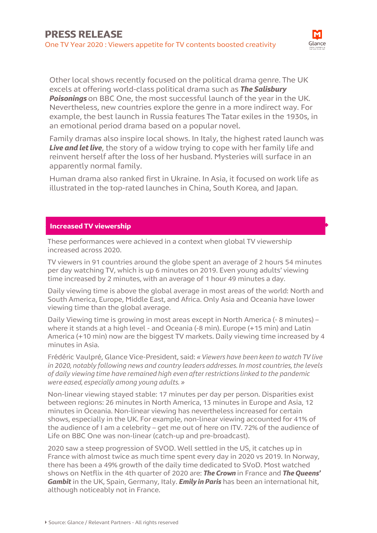

Other local shows recently focused on the political drama genre. The UK excels at offering world-class political drama such as *The Salisbury Poisonings* on BBC One, the most successful launch of the year in the UK. Nevertheless, new countries explore the genre in a more indirect way. For example, the best launch in Russia features The Tatar exiles in the 1930s, in an emotional period drama based on a popular novel.

Family dramas also inspire local shows. In Italy, the highest rated launch was *Live and let live*, the story of a widow trying to cope with her family life and reinvent herself after the loss of her husband. Mysteries will surface in an apparently normal family.

Human drama also ranked first in Ukraine. In Asia, it focused on work life as illustrated in the top-rated launches in China, South Korea, and Japan.

#### **Increased TV viewership**

These performances were achieved in a context when global TV viewership increased across 2020.

TV viewers in 91 countries around the globe spent an average of 2 hours 54 minutes per day watching TV, which is up 6 minutes on 2019. Even young adults' viewing time increased by 2 minutes, with an average of 1 hour 49 minutes a day.

Daily viewing time is above the global average in most areas of the world: North and South America, Europe, Middle East, and Africa. Only Asia and Oceania have lower viewing time than the global average.

Daily Viewing time is growing in most areas except in North America (- 8 minutes) – where it stands at a high level - and Oceania (-8 min). Europe (+15 min) and Latin America (+10 min) now are the biggest TV markets. Daily viewing time increased by 4 minutes in Asia.

Frédéric Vaulpré, Glance Vice-President, said: *« Viewers have been keen to watch TV live in 2020, notably following news and country leaders addresses. In most countries, the levels of daily viewing time have remained high even after restrictions linked to the pandemic were eased, especially among young adults. »*

Non-linear viewing stayed stable: 17 minutes per day per person. Disparities exist between regions: 26 minutes in North America, 13 minutes in Europe and Asia, 12 minutes in Oceania. Non-linear viewing has nevertheless increased for certain shows, especially in the UK. For example, non-linear viewing accounted for 41% of the audience of I am a celebrity – get me out of here on ITV. 72% of the audience of Life on BBC One was non-linear (catch-up and pre-broadcast).

2020 saw a steep progression of SVOD. Well settled in the US, it catches up in France with almost twice as much time spent every day in 2020 vs 2019. In Norway, there has been a 49% growth of the daily time dedicated to SVoD. Most watched shows on Netflix in the 4th quarter of 2020 are: *The Crown* in France and *The Queens' Gambit* in the UK, Spain, Germany, Italy. *Emily in Paris* has been an international hit, although noticeably not in France.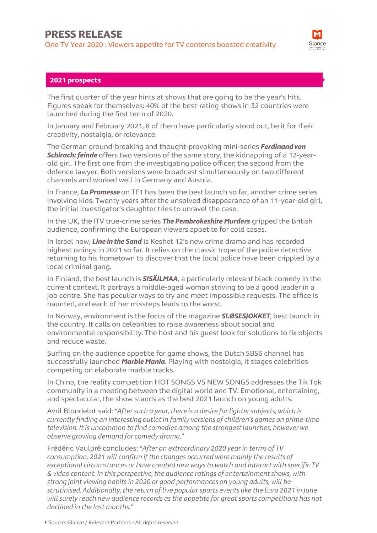## **PRESS RELEASE**

One TV Year 2020 : Viewers appetite for TV contents boosted creativity



#### **2021 prospects**

The first quarter of the year hints at shows that are going to be the year's hits. Figures speak for themselves: 40% of the best-rating shows in 32 countries were launched during the first term of 2020.

In January and February 2021, 8 of them have particularly stood out, be it for their creativity, nostalgia, or relevance.

The German ground-breaking and thought-provoking mini-series *Ferdinand von Schirach: feinde* offers two versions of the same story, the kidnapping of a 12-yearold girl. The first one from the investigating police officer; the second from the defence lawyer. Both versions were broadcast simultaneously on two different channels and worked well in Germany and Austria.

In France, *La Promesse* on TF1 has been the best launch so far, another crime series involving kids. Twenty years after the unsolved disappearance of an 11-year-old girl, the initial investigator's daughter tries to unravel the case.

In the UK, the ITV true-crime series *The Pembrokeshire Murders* gripped the British audience, confirming the European viewers appetite for cold cases.

In Israel now, *Line in the Sand* is Keshet 12's new crime drama and has recorded highest ratings in 2021 so far. It relies on the classic trope of the police detective returning to his hometown to discover that the local police have been crippled by a local criminal gang.

In Finland, the best launch is *SISÄILMAA*, a particularly relevant black comedy in the current context. It portrays a middle-aged woman striving to be a good leader in a job centre. She has peculiar ways to try and meet impossible requests. The office is haunted, and each of her missteps leads to the worst.

In Norway, environment is the focus of the magazine *SLØSESJOKKET*, best launch in the country. It calls on celebrities to raise awareness about social and environmental responsibility. The host and his guest look for solutions to fix objects and reduce waste.

Surfing on the audience appetite for game shows, the Dutch SBS6 channel has successfully launched *Marble Mania*. Playing with nostalgia, it stages celebrities competing on elaborate marble tracks.

In China, the reality competition HOT SONGS VS NEW SONGS addresses the Tik Tok community in a meeting between the digital world and TV. Emotional, entertaining, and spectacular, the show stands as the best 2021 launch on young adults.

Avril Blondelot said: *"After such a year, there is a desire for lighter subjects, which is currently finding an interesting outlet in family versions of children's games on prime-time television. It is uncommon to find comedies among the strongest launches, however we observe growing demand for comedy drama."*

Frédéric Vaulpré concludes: *"After an extraordinary 2020 year in terms of TV consumption, 2021 will confirm if the changes occurred were mainly the results of exceptional circumstances or have created new ways to watch and interact with specific TV & video content. In this perspective, the audience ratings of entertainment shows, with strong joint viewing habits in 2020 or good performances on young adults, will be scrutinised. Additionally, the return of live popular sports events like the Euro 2021 in June will surely reach new audience records as the appetite for great sports competitions has not declined in the last months."*